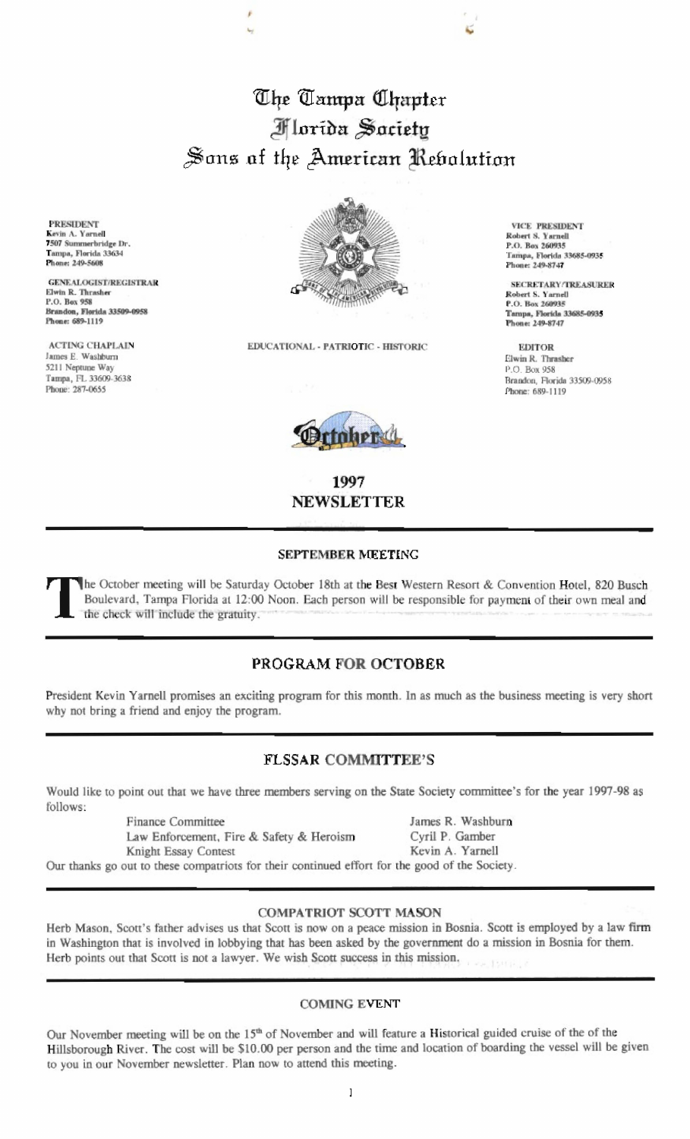# The Tampa Chapter **Florida** Saciety Sons of the American Rebolution

**PRESIDENT** Kevin A. Yarnell 7507 Summerbridge Dr. Tampa, Florida 33634 Phone: 249-5608

**GENEALOGIST/REGISTRAR** Elwin R. Thrasher P.O. Box 958 Brandon, Florida 33509-0958 Phone: 689-1119

**ACTING CHAPLAIN** James E. Washburn 5211 Neptune Way Тапіра, FL 33609-3638 Phone: 287-0655



EDUCATIONAL - PATRIOTIC - HISTORIC



1997 **NEWSLETTER** 

#### **SEPTEMBER MEETING**

The October meeting will be Saturday October 18th at the Best Western Resort & Convention Hotel, 820 Busch Boulevard, Tampa Florida at 12:00 Noon. Each person will be responsible for payment of their own meal and the check will include the gratuity.

## PROGRAM FOR OCTOBER

President Kevin Yarnell promises an exciting program for this month. In as much as the business meeting is very short why not bring a friend and enjoy the program.

## **FLSSAR COMMITTEE'S**

Would like to point out that we have three members serving on the State Society committee's for the year 1997-98 as follows:

> **Finance Committee** Law Enforcement, Fire & Safety & Heroism

Knight Essay Contest

James R. Washburn Cyril P. Gamber Kevin A. Yarnell

Our thanks go out to these compatriots for their continued effort for the good of the Society.

#### **COMPATRIOT SCOTT MASON**

Herb Mason, Scott's father advises us that Scott is now on a peace mission in Bosnia. Scott is employed by a law firm in Washington that is involved in lobbying that has been asked by the government do a mission in Bosnia for them. Herb points out that Scott is not a lawyer. We wish Scott success in this mission.

### **COMING EVENT**

Our November meeting will be on the 15<sup>th</sup> of November and will feature a Historical guided cruise of the of the Hillsborough River. The cost will be \$10.00 per person and the time and location of boarding the vessel will be given to you in our November newsletter. Plan now to attend this meeting.

**VICE PRESIDENT** Robert S. Yarnell P.O. Box 260935 Tampa, Florida 33685-0935 Phone: 249-8747

**SECRETARY/TREASURER** Robert S. Yarnell P.O. Box 260935 Tampa, Florida 33685-0935<br>Phone: 249-8747

**EDITOR** Elwin R. Thrasher P.O. Box 958 Brandon, Florida 33509-0958 Phone: 689-1119